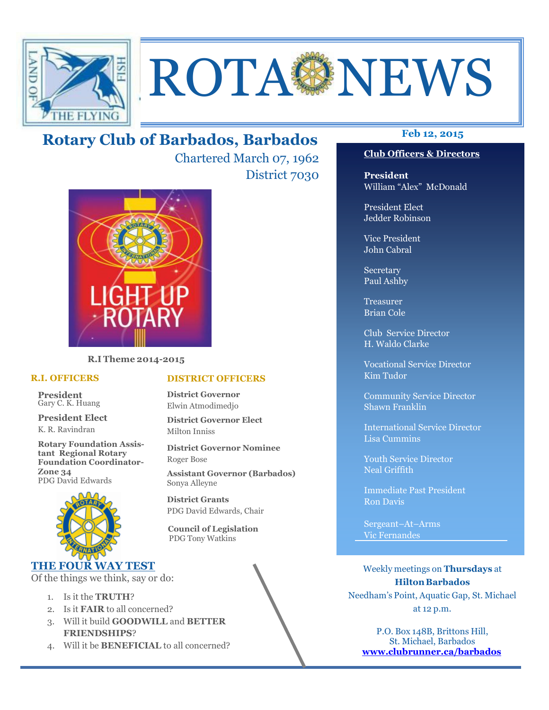

# ROTA NEWS

## **Feb 12, 2015 Rotary Club of Barbados, Barbados**

Chartered March 07, 1962 District 7030



**R.I Theme 2014-2015** 

## **R.I. OFFICERS**

**President** Gary C. K. Huang

**President Elect** K. R. Ravindran

**Rotary Foundation Assistant Regional Rotary Foundation Coordinator-Zone 34**  PDG David Edwards



## **THE FOUR WAY TEST**

Of the things we think, say or do:

- 1. Is it the **TRUTH**?
- 2. Is it **FAIR** to all concerned?
- 3. Will it build **GOODWILL** and **BETTER FRIENDSHIPS**?
- 4. Will it be **BENEFICIAL** to all concerned?

## **Club Officers & Directors**

**President** William "Alex" McDonald

President Elect Jedder Robinson

Vice President John Cabral

Secretary Paul Ashby

Treasurer Brian Cole

Club Service Director H. Waldo Clarke

Vocational Service Director Kim Tudor

Community Service Director Shawn Franklin

International Service Director Lisa Cummins

Youth Service Director Neal Griffith

Immediate Past President Ron Davis

Sergeant–At–Arms Vic Fernandes

Weekly meetings on **Thursdays** at **Hilton Barbados** Needham's Point, Aquatic Gap, St. Michael at 12 p.m.

P.O. Box 148B, Brittons Hill, St. Michael, Barbados **www.clubrunner.ca/barbados**

## **DISTRICT OFFICERS**

**District Governor** Elwin Atmodimedjo

**District Governor Elect** Milton Inniss

**District Governor Nominee**  Roger Bose

**Assistant Governor (Barbados)** Sonya Alleyne

**District Grants**  PDG David Edwards, Chair

 **Council of Legislation**  PDG Tony Watkins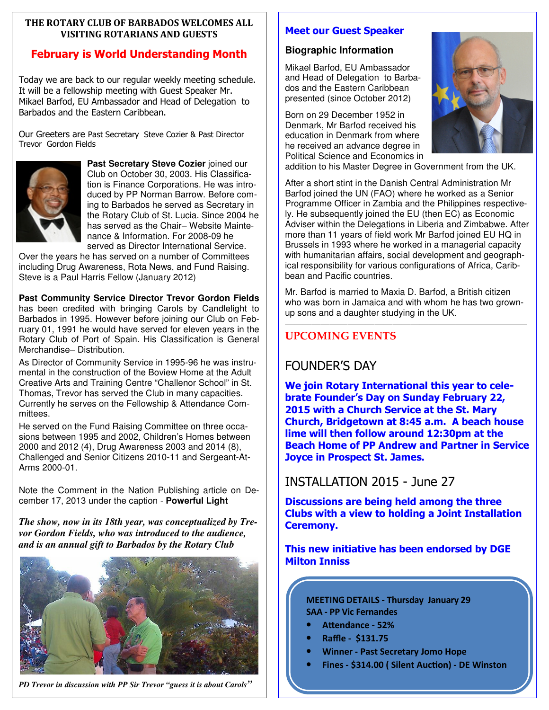## **THE ROTARY CLUB OF BARBADOS WELCOMES ALL VISITING ROTARIANS AND GUESTS**

## **February is World Understanding Month**

Today we are back to our regular weekly meeting schedule. It will be a fellowship meeting with Guest Speaker Mr. Mikael Barfod, EU Ambassador and Head of Delegation to Barbados and the Eastern Caribbean.

Our Greeters are Past Secretary Steve Cozier & Past Director Trevor Gordon Fields



**Past Secretary Steve Cozier** joined our Club on October 30, 2003. His Classification is Finance Corporations. He was introduced by PP Norman Barrow. Before coming to Barbados he served as Secretary in the Rotary Club of St. Lucia. Since 2004 he has served as the Chair– Website Maintenance & Information. For 2008-09 he served as Director International Service.

Over the years he has served on a number of Committees including Drug Awareness, Rota News, and Fund Raising. Steve is a Paul Harris Fellow (January 2012)

**Past Community Service Director Trevor Gordon Fields**  has been credited with bringing Carols by Candlelight to Barbados in 1995. However before joining our Club on February 01, 1991 he would have served for eleven years in the Rotary Club of Port of Spain. His Classification is General Merchandise– Distribution.

As Director of Community Service in 1995-96 he was instrumental in the construction of the Boview Home at the Adult Creative Arts and Training Centre "Challenor School" in St. Thomas, Trevor has served the Club in many capacities. Currently he serves on the Fellowship & Attendance Committees.

He served on the Fund Raising Committee on three occasions between 1995 and 2002, Children's Homes between 2000 and 2012 (4), Drug Awareness 2003 and 2014 (8), Challenged and Senior Citizens 2010-11 and Sergeant-At-Arms 2000-01.

Note the Comment in the Nation Publishing article on December 17, 2013 under the caption - **Powerful Light**

*The show, now in its 18th year, was conceptualized by Trevor Gordon Fields, who was introduced to the audience, and is an annual gift to Barbados by the Rotary Club* 



*PD Trevor in discussion with PP Sir Trevor "guess it is about Carols"* 

## **Meet our Guest Speaker**

## **Biographic Information**

Mikael Barfod, EU Ambassador and Head of Delegation to Barbados and the Eastern Caribbean presented (since October 2012)

Born on 29 December 1952 in Denmark, Mr Barfod received his education in Denmark from where he received an advance degree in Political Science and Economics in



After a short stint in the Danish Central Administration Mr Barfod joined the UN (FAO) where he worked as a Senior Programme Officer in Zambia and the Philippines respectively. He subsequently joined the EU (then EC) as Economic Adviser within the Delegations in Liberia and Zimbabwe. After more than 11 years of field work Mr Barfod joined EU HQ in Brussels in 1993 where he worked in a managerial capacity with humanitarian affairs, social development and geographical responsibility for various configurations of Africa, Caribbean and Pacific countries.

Mr. Barfod is married to Maxia D. Barfod, a British citizen who was born in Jamaica and with whom he has two grownup sons and a daughter studying in the UK.

———————————————————————————

## **UPCOMING EVENTS**

## FOUNDER'S DAY

**We join Rotary International this year to celebrate Founder's Day on Sunday February 22, 2015 with a Church Service at the St. Mary Church, Bridgetown at 8:45 a.m. A beach house lime will then follow around 12:30pm at the Beach Home of PP Andrew and Partner in Service Joyce in Prospect St. James.** 

## INSTALLATION 2015 - June 27

**Discussions are being held among the three Clubs with a view to holding a Joint Installation Ceremony.** 

## **This new initiative has been endorsed by DGE Milton Inniss**

**MEETING DETAILS - Thursday January 29 SAA - PP Vic Fernandes** 

- Attendance 52%
- **Raffle \$131.75**
- **Winner Past Secretary Jomo Hope**
- **Fines \$314.00 ( Silent Auction) DE Winston**

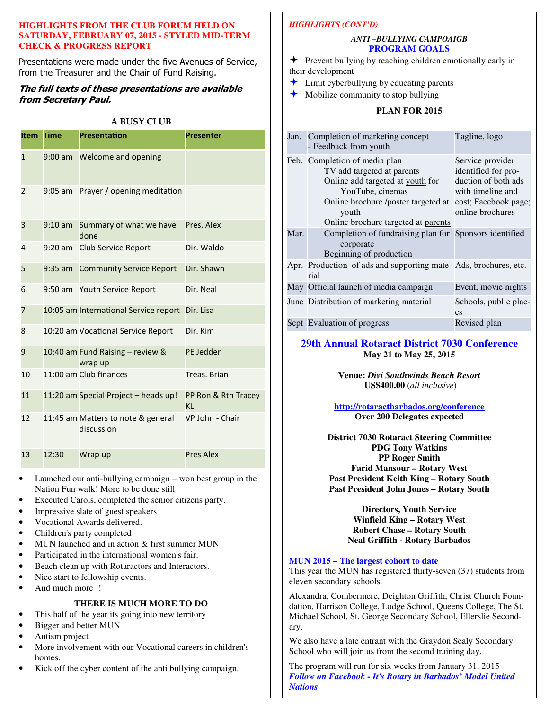## **HIGHLIGHTS FROM THE CLUB FORUM HELD ON SATURDAY, FEBRUARY 07, 2015 - STYLED MID-TERM CHECK & PROGRESS REPORT**

Presentations were made under the five Avenues of Service, from the Treasurer and the Chair of Fund Raising.

## **The full texts of these presentations are available from Secretary Paul.**

## **A BUSY CLUB**

| <b>Item</b>  | <b>Time</b>       | <b>Presentation</b>                              | <b>Presenter</b>                 |
|--------------|-------------------|--------------------------------------------------|----------------------------------|
| $\mathbf{1}$ |                   | 9:00 am Welcome and opening                      |                                  |
| 2            |                   | 9:05 am Prayer / opening meditation              |                                  |
| 3            | $9:10 \text{ am}$ | Summary of what we have<br>done                  | Pres. Alex                       |
| 4            |                   | 9:20 am Club Service Report                      | Dir. Waldo                       |
| 5            |                   | 9:35 am Community Service Report                 | Dir. Shawn                       |
| 6            |                   | 9:50 am Youth Service Report                     | Dir. Neal                        |
| 7            |                   | 10:05 am International Service report Dir. Lisa  |                                  |
| 8            |                   | 10:20 am Vocational Service Report               | Dir. Kim                         |
| 9            |                   | 10:40 am Fund Raising - review &<br>wrap up      | <b>PE Jedder</b>                 |
| 10           |                   | 11:00 am Club finances                           | Treas, Brian                     |
| 11           |                   | 11:20 am Special Project – heads up!             | PP Ron & Rtn Tracey<br><b>KL</b> |
| 12           |                   | 11:45 am Matters to note & general<br>discussion | VP John - Chair                  |
| 13           | 12:30             | Wrap up                                          | <b>Pres Alex</b>                 |

- Launched our anti-bullying campaign won best group in the Nation Fun walk! More to be done still
- Executed Carols, completed the senior citizens party.
- Impressive slate of guest speakers
- Vocational Awards delivered.
- Children's party completed
- MUN launched and in action & first summer MUN
- Participated in the international women's fair.
- Beach clean up with Rotaractors and Interactors.
- Nice start to fellowship events.
- And much more !!

## **THERE IS MUCH MORE TO DO**

- This half of the year its going into new territory
- Bigger and better MUN
- Autism project
- More involvement with our Vocational careers in children's homes.
- Kick off the cyber content of the anti bullying campaign.

## *HIGHLIGHTS (CONT'D)*

## *ANTI –BULLYING CAMPOAIGB*  **PROGRAM GOALS**

- $\triangle$  Prevent bullying by reaching children emotionally early in their development
- Limit cyberbullying by educating parents
- $\bigstar$  Mobilize community to stop bullying

## **PLAN FOR 2015**

|      | Jan. Completion of marketing concept<br>- Feedback from youth                                                                                                                                              | Tagline, logo                                                                                                                   |
|------|------------------------------------------------------------------------------------------------------------------------------------------------------------------------------------------------------------|---------------------------------------------------------------------------------------------------------------------------------|
|      | Feb. Completion of media plan<br>TV add targeted at parents<br>Online add targeted at youth for<br>YouTube, cinemas<br>Online brochure /poster targeted at<br>youth<br>Online brochure targeted at parents | Service provider<br>identified for pro-<br>duction of both ads<br>with timeline and<br>cost; Facebook page;<br>online brochures |
| Mar. | Completion of fundraising plan for Sponsors identified<br>corporate<br>Beginning of production                                                                                                             |                                                                                                                                 |
|      | Apr. Production of ads and supporting mate-Ads, brochures, etc.<br>rial                                                                                                                                    |                                                                                                                                 |
|      | May Official launch of media campaign                                                                                                                                                                      | Event, movie nights                                                                                                             |
|      | June Distribution of marketing material                                                                                                                                                                    | Schools, public plac-<br>es                                                                                                     |
|      | Sept Evaluation of progress                                                                                                                                                                                | Revised plan                                                                                                                    |

## **29th Annual Rotaract District 7030 Conference May 21 to May 25, 2015**

**Venue:** *Divi Southwinds Beach Resort*   **US\$400.00** (*all inclusive*)

**http://rotaractbarbados.org/conference Over 200 Delegates expected** 

**District 7030 Rotaract Steering Committee PDG Tony Watkins PP Roger Smith Farid Mansour – Rotary West Past President Keith King – Rotary South Past President John Jones – Rotary South** 

> **Directors, Youth Service Winfield King – Rotary West Robert Chase – Rotary South Neal Griffith - Rotary Barbados**

### **MUN 2015 – The largest cohort to date**

This year the MUN has registered thirty-seven (37) students from eleven secondary schools.

Alexandra, Combermere, Deighton Griffith, Christ Church Foundation, Harrison College, Lodge School, Queens College, The St. Michael School, St. George Secondary School, Ellerslie Secondary.

We also have a late entrant with the Graydon Sealy Secondary School who will join us from the second training day.

The program will run for six weeks from January 31, 2015 *Follow on Facebook - It's Rotary in Barbados' Model United Nations*